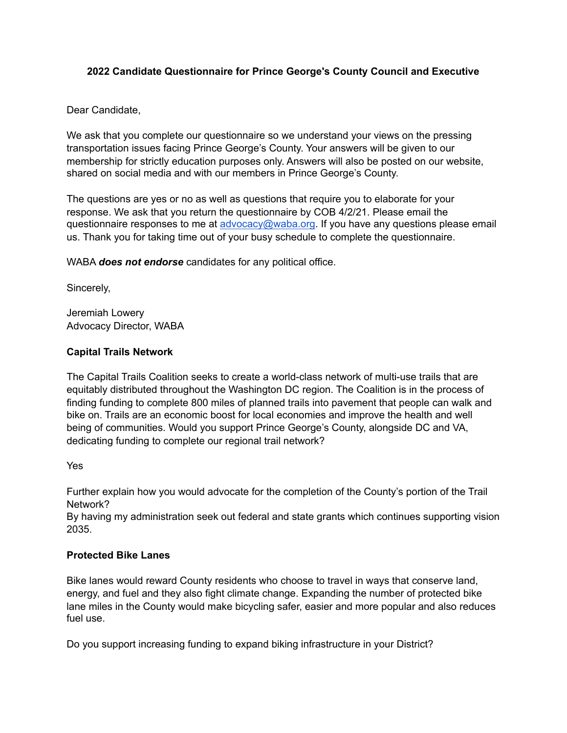# **2022 Candidate Questionnaire for Prince George's County Council and Executive**

## Dear Candidate,

We ask that you complete our questionnaire so we understand your views on the pressing transportation issues facing Prince George's County. Your answers will be given to our membership for strictly education purposes only. Answers will also be posted on our website, shared on social media and with our members in Prince George's County.

The questions are yes or no as well as questions that require you to elaborate for your response. We ask that you return the questionnaire by COB 4/2/21. Please email the questionnaire responses to me at [advocacy@waba.org.](mailto:advocacy@waba.org) If you have any questions please email us. Thank you for taking time out of your busy schedule to complete the questionnaire.

WABA *does not endorse* candidates for any political office.

Sincerely,

Jeremiah Lowery Advocacy Director, WABA

## **Capital Trails Network**

The Capital Trails Coalition seeks to create a world-class network of multi-use trails that are equitably distributed throughout the Washington DC region. The Coalition is in the process of finding funding to complete 800 miles of planned trails into pavement that people can walk and bike on. Trails are an economic boost for local economies and improve the health and well being of communities. Would you support Prince George's County, alongside DC and VA, dedicating funding to complete our regional trail network?

Yes

Further explain how you would advocate for the completion of the County's portion of the Trail Network?

By having my administration seek out federal and state grants which continues supporting vision 2035.

### **Protected Bike Lanes**

Bike lanes would reward County residents who choose to travel in ways that conserve land, energy, and fuel and they also fight climate change. Expanding the number of protected bike lane miles in the County would make bicycling safer, easier and more popular and also reduces fuel use.

Do you support increasing funding to expand biking infrastructure in your District?